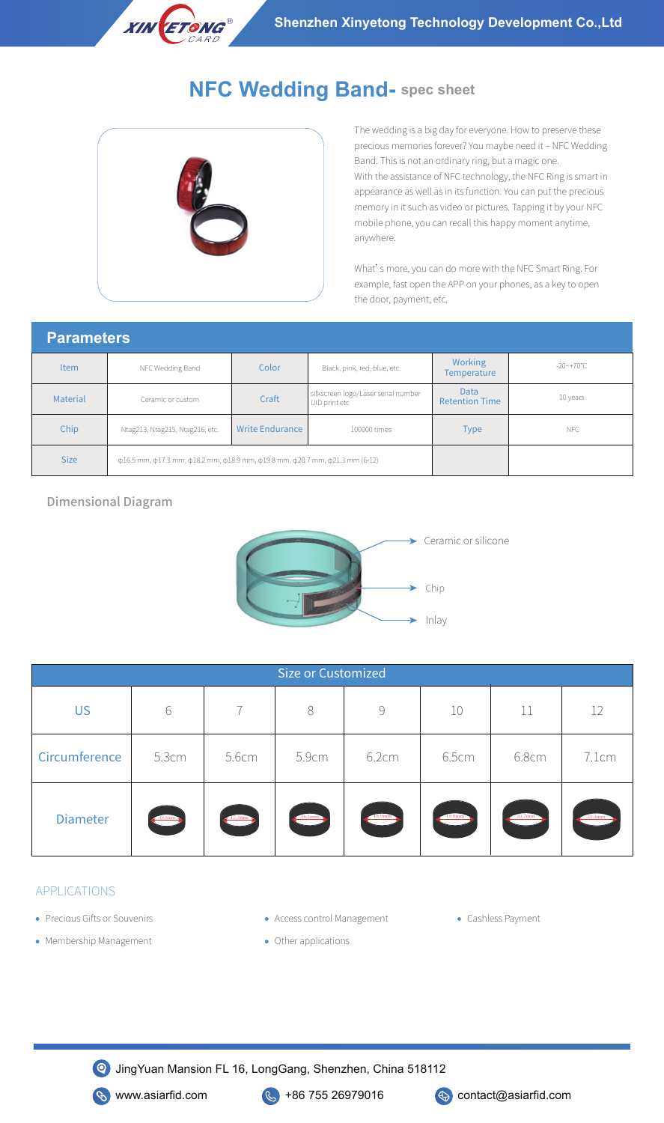

# **NFC Wedding Band- spec sheet**



The wedding is a big day for everyone. How to preserve these precious memories forever? You maybe need it - NFC Wedding Band. This is not an ordinary ring, but a magic one. With the assistance of NFC technology, the NFC Ring is smart in appearance as well as in its function. You can put the precious memory in it such as video or pictures. Tapping it by your NFC mobile phone, you can recall this happy moment anytime, anywhere.

What's more, you can do more with the NFC Smart Ring. For example, fast open the APP on your phones, as a key to open the door, payment, etc.

#### **Parameters**

| <b>Item</b> | NFC Wedding Band                                                                                                      | Color                  | Black, pink, red, blue, etc.                         | <b>Working</b><br><b>Temperature</b> | $-20$ ~+70°C |  |  |
|-------------|-----------------------------------------------------------------------------------------------------------------------|------------------------|------------------------------------------------------|--------------------------------------|--------------|--|--|
| Material    | Ceramic or custom                                                                                                     | Craft                  | silkscreen logo/Laser serial number<br>UID print etc | Data<br><b>Retention Time</b>        | 10 years     |  |  |
| Chip        | Ntag213, Ntag215, Ntag216, etc.                                                                                       | <b>Write Endurance</b> | 100000 times                                         | <b>Type</b>                          | NFC          |  |  |
| <b>Size</b> | $\phi$ 16.5 mm, $\phi$ 17.3 mm, $\phi$ 18.2 mm, $\phi$ 18.9 mm, $\phi$ 19.8 mm, $\phi$ 20.7 mm, $\phi$ 21.3 mm (6-12) |                        |                                                      |                                      |              |  |  |

#### Dimensional Diagram



| <b>Size or Customized</b> |        |        |               |        |        |                                         |        |
|---------------------------|--------|--------|---------------|--------|--------|-----------------------------------------|--------|
| <b>US</b>                 | 6      |        | 8             | 9      | 10     | 11                                      | 12     |
| Circumference             | 5.3cm  | 5.6cm  | 5.9cm         | 6.2cm  | 6.5cm  | 6.8cm                                   | 7.1cm  |
| <b>Diameter</b>           | 16.5mm | 17.3mm | <b>18.2mm</b> | 18.9mm | 19.8mm | $\frac{20.7 \text{mm}}{20.7 \text{mm}}$ | 21.3mm |

### APPLICATIONS

- Precious Gifts or Souvenirs
- Access control Management Cashless Payment
	-

- Membership Management
- Other applications

JingYuan Mansion FL 16, LongGang, Shenzhen, China 518112



**S** www.asiarfid.com **C** +86 755 26979016 **C** contact@asiarfid.com